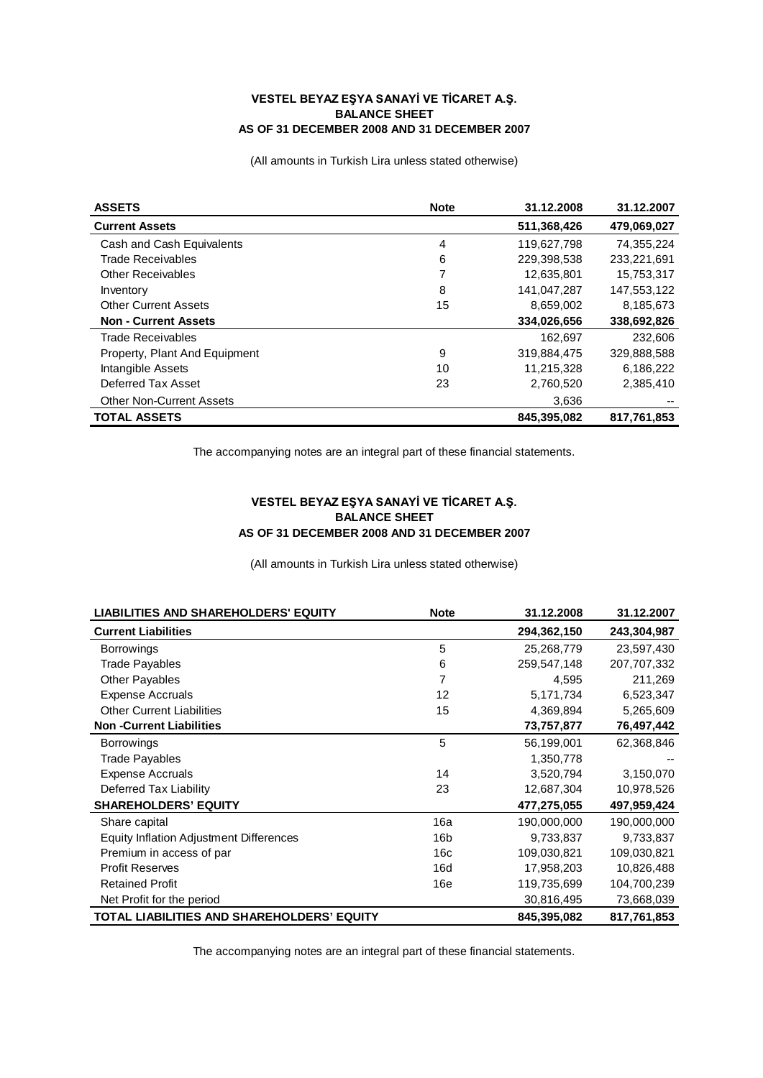## **VESTEL BEYAZ EŞYA SANAYİ VE TİCARET A.Ş. BALANCE SHEET AS OF 31 DECEMBER 2008 AND 31 DECEMBER 2007**

(All amounts in Turkish Lira unless stated otherwise)

| <b>ASSETS</b>                   | <b>Note</b> | 31.12.2008  | 31.12.2007  |
|---------------------------------|-------------|-------------|-------------|
| <b>Current Assets</b>           |             | 511,368,426 | 479,069,027 |
| Cash and Cash Equivalents       | 4           | 119.627.798 | 74.355.224  |
| Trade Receivables               | 6           | 229,398,538 | 233,221,691 |
| <b>Other Receivables</b>        | 7           | 12,635,801  | 15,753,317  |
| Inventory                       | 8           | 141.047.287 | 147,553,122 |
| <b>Other Current Assets</b>     | 15          | 8,659,002   | 8,185,673   |
| <b>Non - Current Assets</b>     |             | 334,026,656 | 338,692,826 |
| Trade Receivables               |             | 162,697     | 232,606     |
| Property, Plant And Equipment   | 9           | 319,884,475 | 329,888,588 |
| Intangible Assets               | 10          | 11,215,328  | 6,186,222   |
| Deferred Tax Asset              | 23          | 2,760,520   | 2,385,410   |
| <b>Other Non-Current Assets</b> |             | 3,636       |             |
| <b>TOTAL ASSETS</b>             |             | 845,395,082 | 817,761,853 |

The accompanying notes are an integral part of these financial statements.

## **VESTEL BEYAZ EŞYA SANAYİ VE TİCARET A.Ş. BALANCE SHEET AS OF 31 DECEMBER 2008 AND 31 DECEMBER 2007**

(All amounts in Turkish Lira unless stated otherwise)

| <b>LIABILITIES AND SHAREHOLDERS' EQUITY</b>    | <b>Note</b> | 31.12.2008  | 31.12.2007  |
|------------------------------------------------|-------------|-------------|-------------|
| <b>Current Liabilities</b>                     |             | 294,362,150 | 243,304,987 |
| <b>Borrowings</b>                              | 5           | 25,268,779  | 23,597,430  |
| <b>Trade Payables</b>                          | 6           | 259,547,148 | 207,707,332 |
| <b>Other Payables</b>                          | 7           | 4,595       | 211,269     |
| <b>Expense Accruals</b>                        | 12          | 5,171,734   | 6,523,347   |
| <b>Other Current Liabilities</b>               | 15          | 4,369,894   | 5,265,609   |
| <b>Non-Current Liabilities</b>                 |             | 73,757,877  | 76,497,442  |
| <b>Borrowings</b>                              | 5           | 56,199,001  | 62,368,846  |
| <b>Trade Payables</b>                          |             | 1,350,778   |             |
| <b>Expense Accruals</b>                        | 14          | 3,520,794   | 3,150,070   |
| Deferred Tax Liability                         | 23          | 12,687,304  | 10,978,526  |
| <b>SHAREHOLDERS' EQUITY</b>                    |             | 477,275,055 | 497,959,424 |
| Share capital                                  | 16a         | 190.000.000 | 190,000,000 |
| <b>Equity Inflation Adjustment Differences</b> | 16b         | 9,733,837   | 9,733,837   |
| Premium in access of par                       | 16c         | 109,030,821 | 109,030,821 |
| <b>Profit Reserves</b>                         | 16d         | 17,958,203  | 10,826,488  |
| <b>Retained Profit</b>                         | 16e         | 119,735,699 | 104,700,239 |
| Net Profit for the period                      |             | 30,816,495  | 73,668,039  |
| TOTAL LIABILITIES AND SHAREHOLDERS' EQUITY     |             | 845,395,082 | 817,761,853 |

The accompanying notes are an integral part of these financial statements.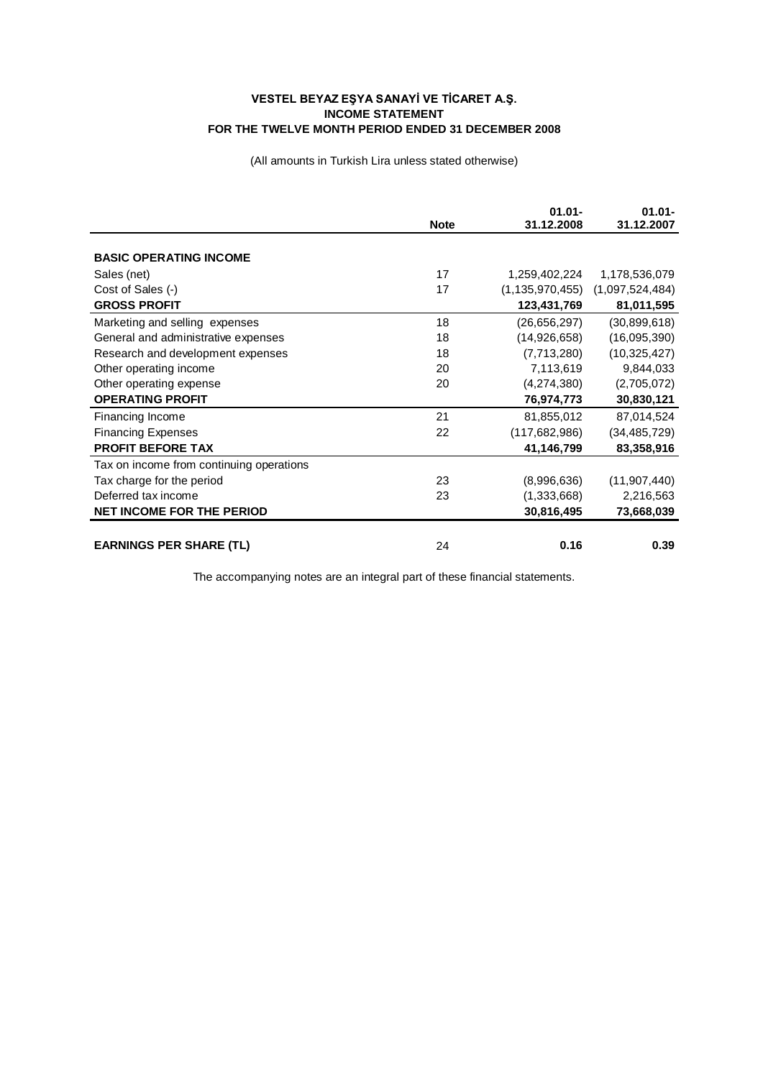## **VESTEL BEYAZ EŞYA SANAYİ VE TİCARET A.Ş. INCOME STATEMENT FOR THE TWELVE MONTH PERIOD ENDED 31 DECEMBER 2008**

(All amounts in Turkish Lira unless stated otherwise)

|                                          | <b>Note</b> | $01.01 -$<br>31.12.2008 | $01.01 -$<br>31.12.2007 |
|------------------------------------------|-------------|-------------------------|-------------------------|
|                                          |             |                         |                         |
| <b>BASIC OPERATING INCOME</b>            |             |                         |                         |
| Sales (net)                              | 17          | 1,259,402,224           | 1,178,536,079           |
| Cost of Sales (-)                        | 17          | (1, 135, 970, 455)      | (1,097,524,484)         |
| <b>GROSS PROFIT</b>                      |             | 123,431,769             | 81,011,595              |
| Marketing and selling expenses           | 18          | (26, 656, 297)          | (30,899,618)            |
| General and administrative expenses      | 18          | (14,926,658)            | (16,095,390)            |
| Research and development expenses        | 18          | (7,713,280)             | (10, 325, 427)          |
| Other operating income                   | 20          | 7,113,619               | 9,844,033               |
| Other operating expense                  | 20          | (4,274,380)             | (2,705,072)             |
| <b>OPERATING PROFIT</b>                  |             | 76,974,773              | 30,830,121              |
| Financing Income                         | 21          | 81,855,012              | 87,014,524              |
| <b>Financing Expenses</b>                | 22          | (117,682,986)           | (34, 485, 729)          |
| <b>PROFIT BEFORE TAX</b>                 |             | 41,146,799              | 83,358,916              |
| Tax on income from continuing operations |             |                         |                         |
| Tax charge for the period                | 23          | (8,996,636)             | (11, 907, 440)          |
| Deferred tax income                      | 23          | (1,333,668)             | 2,216,563               |
| NET INCOME FOR THE PERIOD                |             | 30,816,495              | 73,668,039              |
|                                          |             |                         |                         |
| <b>EARNINGS PER SHARE (TL)</b>           | 24          | 0.16                    | 0.39                    |

The accompanying notes are an integral part of these financial statements.